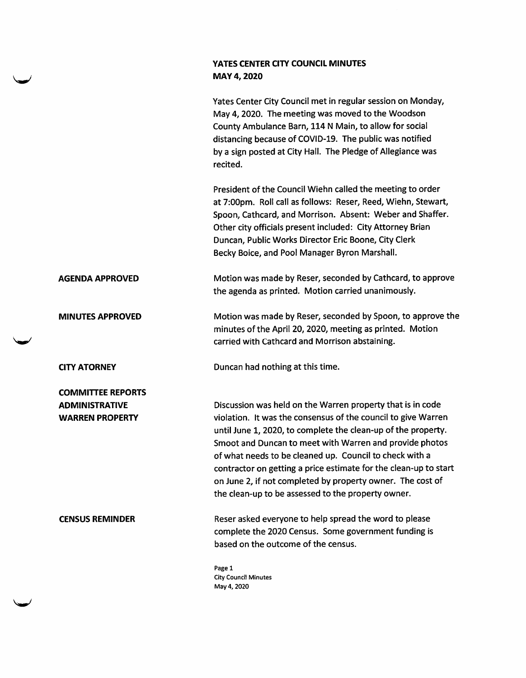## YATES CENTER CITY COUNCIL MINUTES MAY 4,2020

Yates Center City Council met in regular session on Monday, May 4,2020. The meeting was moved to the Woodson County Ambulance Barn, 114 N Main, to allow for social distancing because of COVID-19. The public was notified by a sign posted at City Hall. The Pledge of Allegiance was recited.

President of the Council Wiehn called the meeting to order at 7:00pm. Roll call as follows: Reser, Reed, Wiehn, Stewart, Spoon, Cathcard, and Morrison. Absent: Weber and Shaffer. Other city officials present included: City Attorney Brian Duncan, Public Works Director Eric Boone, City Clerk Becky Boice, and Pool Manager Byron Marshall.

AGENDA APPROVED Motion was made by Reser, seconded by Cathcard, to approve the agenda as printed. Motion carried unanimously.

MINUTES APPROVED Motion was made by Reser, seconded by Spoon, to approve the minutes of the April 20, 2020, meeting as printed. Motion carried with Cathcard and Morrison abstaining.

**Wannee** 

COMMITTEE REPORTS ADMINISTRATIVE WARREN PROPERTY

CITY ATORNEY Duncan had nothing at this time.

Discussion was held on the Warren property that is in code violation. It was the consensus of the council to give Warren until June 1, 2020, to complete the clean-up of the property. Smoot and Duncan to meet with Warren and provide photos of what needs to be cleaned up. Council to check with a contractor on getting a price estimate for the clean-up to start on June 2, if not completed by property owner. The cost of the clean-up to be assessed to the property owner.

CENSUS REMINDER Reser asked everyone to help spread the word to please complete the 2020 Census. Some government funding is based on the outcome of the census.

> Page 1 City Council Minutes May 4,2020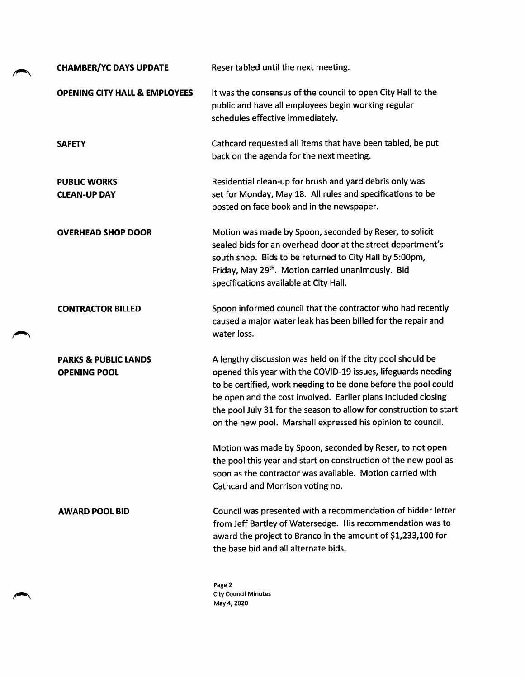| <b>CHAMBER/YC DAYS UPDATE</b>                          | Reser tabled until the next meeting.                                                                                                                                                                                                                                                                                                                                                                 |
|--------------------------------------------------------|------------------------------------------------------------------------------------------------------------------------------------------------------------------------------------------------------------------------------------------------------------------------------------------------------------------------------------------------------------------------------------------------------|
| <b>OPENING CITY HALL &amp; EMPLOYEES</b>               | It was the consensus of the council to open City Hall to the<br>public and have all employees begin working regular<br>schedules effective immediately.                                                                                                                                                                                                                                              |
| <b>SAFETY</b>                                          | Cathcard requested all items that have been tabled, be put<br>back on the agenda for the next meeting.                                                                                                                                                                                                                                                                                               |
| <b>PUBLIC WORKS</b><br><b>CLEAN-UP DAY</b>             | Residential clean-up for brush and yard debris only was<br>set for Monday, May 18. All rules and specifications to be<br>posted on face book and in the newspaper.                                                                                                                                                                                                                                   |
| <b>OVERHEAD SHOP DOOR</b>                              | Motion was made by Spoon, seconded by Reser, to solicit<br>sealed bids for an overhead door at the street department's<br>south shop. Bids to be returned to City Hall by 5:00pm,<br>Friday, May 29th. Motion carried unanimously. Bid<br>specifications available at City Hall.                                                                                                                     |
| <b>CONTRACTOR BILLED</b>                               | Spoon informed council that the contractor who had recently<br>caused a major water leak has been billed for the repair and<br>water loss.                                                                                                                                                                                                                                                           |
| <b>PARKS &amp; PUBLIC LANDS</b><br><b>OPENING POOL</b> | A lengthy discussion was held on if the city pool should be<br>opened this year with the COVID-19 issues, lifeguards needing<br>to be certified, work needing to be done before the pool could<br>be open and the cost involved. Earlier plans included closing<br>the pool July 31 for the season to allow for construction to start<br>on the new pool. Marshall expressed his opinion to council. |
|                                                        | Motion was made by Spoon, seconded by Reser, to not open<br>the pool this year and start on construction of the new pool as<br>soon as the contractor was available. Motion carried with<br>Cathcard and Morrison voting no.                                                                                                                                                                         |
| <b>AWARD POOL BID</b>                                  | Council was presented with a recommendation of bidder letter<br>from Jeff Bartley of Watersedge. His recommendation was to<br>award the project to Branco in the amount of \$1,233,100 for<br>the base bid and all alternate bids.                                                                                                                                                                   |
|                                                        | Page 2                                                                                                                                                                                                                                                                                                                                                                                               |

City Council Minutes May 4, 2020